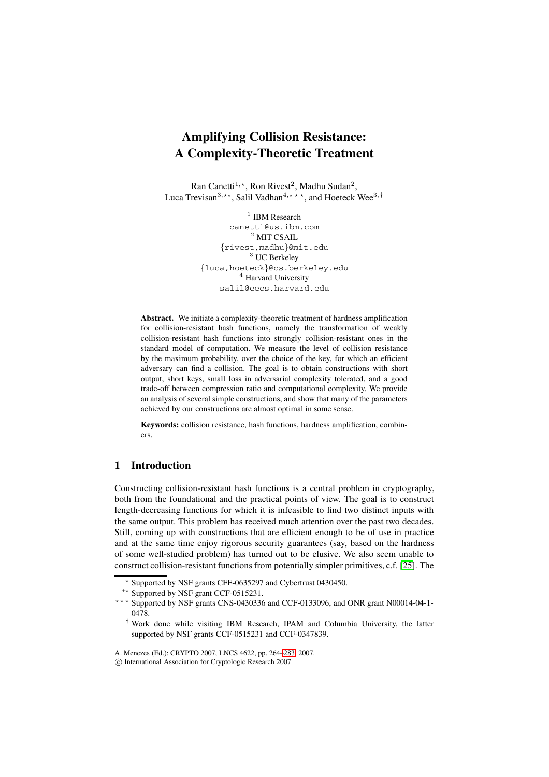# **Amplifying Collision Resistance: A Complexity-Theoretic Treatment**

Ran Canetti<sup>1,\*</sup>, Ron Rivest<sup>2</sup>, Madhu Sudan<sup>2</sup>, Luca Trevisan<sup>3,\*\*</sup>, Salil Vadhan<sup>4,\*\*\*</sup>, and Hoeteck Wee<sup>3,†</sup>

> $1$  IBM Research canetti@us.ibm.com <sup>2</sup> MIT CSAIL {rivest,madhu}@mit.edu <sup>3</sup> UC Berkeley {luca,hoeteck}@cs.berkeley.edu <sup>4</sup> Harvard University salil@eecs.harvard.edu

**Abstract.** We initiate a complexity-theoretic treatment of hardness amplification for collision-resistant hash functions, namely the transformation of weakly collision-resistant hash functions into strongly collision-resistant ones in the standard model of computation. We measure the level of collision resistance by the maximum probability, over the choice of the key, for which an efficient adversary can find a collision. The goal is to obtain constructions with short output, short keys, small loss in adversarial complexity tolerated, and a good trade-off between compression ratio and computational complexity. We provide an analysis of several simple constructions, and show that many of the parameters achieved by our constructions are almost optimal in some sense.

**Keywords:** collision resistance, hash functions, hardness amplification, combiners.

# **1 Introduction**

Constructing collision-resistant hash functions is a central problem in cryptography, both from the foundational and the practical points of view. The goal is to construct length-decreasing functions for which it is infeasible to find two distinct inputs with the same output. This problem has received much attention over the past two decades. Still, coming up with constructions that are efficient enough to be of use in practice and at the same time enjoy rigorous security guarantees (say, based on the hardness of some well-studied problem) has turned out to be elusive. We also seem unable to construct collision-resistant functions from potentially simpler primitives, c.f. [25]. The

<sup>-</sup> Supported by NSF grants CFF-0635297 and Cybertrust 0430450.

<sup>\*\*</sup> Supported by NSF grant CCF-0515231.

<sup>\*\*\*</sup> Supported by NSF grants CNS-0430336 and CCF-0133096, and ONR grant N00[014-](#page-19-0)04-1-0478.

<sup>†</sup> Work done while visiting IBM Research, IPAM and Columbia University, the latter supported by NSF grants CCF-0515231 and CCF-0347839.

A. Menezes (Ed.): CRYPTO 2007, LNCS 4622, pp. 264–283, 2007.

 $\odot$  International Association for Cryptologic Research 2007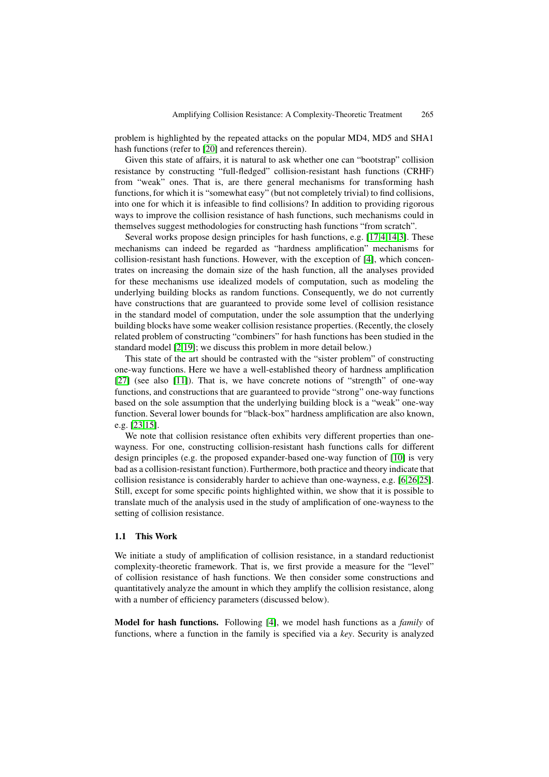problem is highlighted by the repeated attacks on the popular MD4, MD5 and SHA1 hash functions (refer to [20] and references therein).

Given this state of affairs, it is natural to ask whether one can "bootstrap" collision resistance by constructing "full-fledged" collision-resistant hash functions (CRHF) from "weak" ones. That is, are there general mechanisms for transforming hash functions, for which it is ["so](#page-18-0)mewhat easy" (but not completely trivial) to find collisions, into one for which it is infeasible to find collisions? In addition to providing rigorous ways to improve the collision resistance of hash functions, such mechanisms could in themselves suggest methodologies for constructing hash functions "from scratch".

Several works propose design principles for hash functions, e.g. [17,4,14,3]. These mechanisms can indeed be regarded as "hardness amplification" mechanisms for collision-resistant hash functions. However, with the exception of [4], which concentrates on increasing the domain size of the hash function, all the analyses provided for these mechanisms use idealized models of computation, such [as](#page-18-1)[mod](#page-18-3)[el](#page-18-4)ing the underlying building blocks as random functions. Consequently, we do not currently have constructions that are guaranteed to provide some level of [col](#page-18-2)lision resistance in the standard model of computation, under the sole assumption that the underlying building blocks have some weaker collision resistance properties. (Recently, the closely related problem of constructing "combiners" for hash functions has been studied in the standard model [2,19]; we discuss this problem in more detail below.)

This state of the art should be contrasted with the "sister problem" of constructing one-way functions. Here we have a well-established theory of hardness amplification [27] (see also [11]). That is, we have concrete notions of "strength" of one-way functions, and c[on](#page-18-5)[stru](#page-18-6)ctions that are guaranteed to provide "strong" one-way functions based on the sole assumption that the underlying building block is a "weak" one-way function. Several lower bounds for "black-box" hardness amplification are also known, [e.g.](#page-19-1) [23,15].

We note that collision resistance often exhibits very different properties than onewayness. For one, constructing collision-resistant hash functions calls for different design principles (e.g. the proposed expander-based one-way function of [10] is very bad [as a](#page-19-2) [col](#page-18-7)lision-resistant function). Furthermore, both practice and theory indicate that collision resistance is considerably harder to achieve than one-wayness, e.g. [6,26,25]. Still, except for some specific points highlighted within, we show that it is possible to translate much of the analysis used in the study of amplification of one-wa[yne](#page-18-8)ss to the setting of collision resistance.

## **1.1 This Work**

We initiate a study of amplification of collision resistance, in a standard reductionist complexity-theoretic framework. That is, we first provide a measure for the "level" of collision resistance of hash functions. We then consider some constructions and quantitatively analyze the amount in which they amplify the collision resistance, along with a number of efficiency parameters (discussed below).

**Model for hash functions.** Following [4], we model hash functions as a *family* of functions, where a function in the family is specified via a *key*. Security is analyzed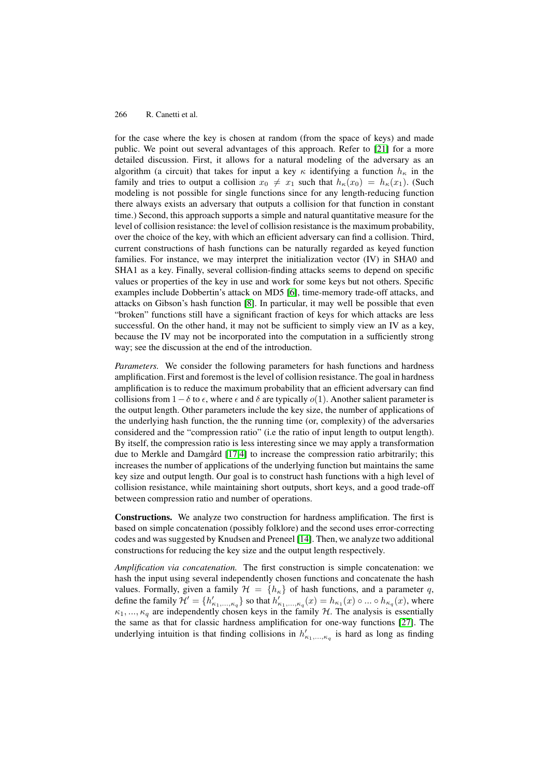for the case where the key is chosen at random (from the space of keys) and made public. We point out several advantages of this approach. Refer to [21] for a more detailed discussion. First, it allows for a natural modeling of the adversary as an algorithm (a circuit) that takes for input a key  $\kappa$  identifying a function  $h_{\kappa}$  in the family and tries to output a collision  $x_0 \neq x_1$  such that  $h_{\kappa}(x_0) = h_{\kappa}(x_1)$ . (Such modeling is not possible for single functions since for any length-re[duc](#page-18-9)ing function there always exists an adversary that outputs a collision for that function in constant time.) Second, this approach supports a simple and natural quantitative measure for the level of collision resistance: the level of collision resistance is the maximum probability, over the choice of the key, with which an efficient adversary can find a collision. Third, current constructions of hash functions can be naturally regarded as keyed function families. For instance, we may interpret the initialization vector (IV) in SHA0 and SHA1 as a key. Finally, several collision-finding attacks seems to depend on specific values or properties of the key in use and work for some keys but not others. Specific examples include Dobbertin's attack on MD5 [6], time-memory trade-off attacks, and attacks on Gibson's hash function [8]. In particular, it may well be possible that even "broken" functions still have a significant fraction of keys for which attacks are less successful. On the other hand, it may not be sufficient to simply view an IV as a key, because the IV may not be incorporated into t[he](#page-18-10) computation in a sufficiently strong way; see the discussion at the end o[f t](#page-18-11)he introduction.

*Parameters.* We consider the following parameters for hash functions and hardness amplification. First and foremost is the level of collision resistance. The goal in hardness amplification is to reduce the maximum probability that an efficient adversary can find collisions from  $1-\delta$  to  $\epsilon$ , where  $\epsilon$  and  $\delta$  are typically  $o(1)$ . Another salient parameter is the output length. Other parameters include the key size, the number of applications of the underlying hash function, the the running time (or, complexity) of the adversaries considered and the "compression ratio" (i.e the ratio of input length to output length). By itself, the compression ratio is less interesting since we may apply a transformation due to Merkle and Damgård [17,4] to increase the compression ratio arbitrarily; this increases the number of applications of the underlying function but maintains the same key size and output length. Our goal is to construct hash functions with a high level of collision resistance, while maintaining short outputs, short keys, and a good trade-off between compression ratio an[d nu](#page-18-1)[m](#page-18-2)ber of operations.

**Constructions.** We analyze two construction for hardness amplification. The first is based on simple concatenation (possibly folklore) and the second uses error-correcting codes and was suggested by Knudsen and Preneel [14]. Then, we analyze two additional constructions for reducing the key size and the output length respectively.

*Amplification via concatenation.* The first construction is simple concatenation: we hash the input using several independently chosen functions and concatenate the hash values. Formally, given a family  $\mathcal{H} = \{h_{\kappa}\}\$  of [ha](#page-18-3)sh functions, and a parameter q, define the family  $\mathcal{H}'=\{h'_{\kappa_1,...,\kappa_q}\}$  so that  $h'_{\kappa_1,...,\kappa_q}(x)=h_{\kappa_1}(x)\circ...\circ h_{\kappa_q}(x),$  where  $\kappa_1, ..., \kappa_q$  are independently chosen keys in the family H. The analysis is essentially the same as that for classic hardness amplification for one-way functions [27]. The underlying intuition is that finding collisions in  $h'_{\kappa_1,...,\kappa_q}$  is hard as long as finding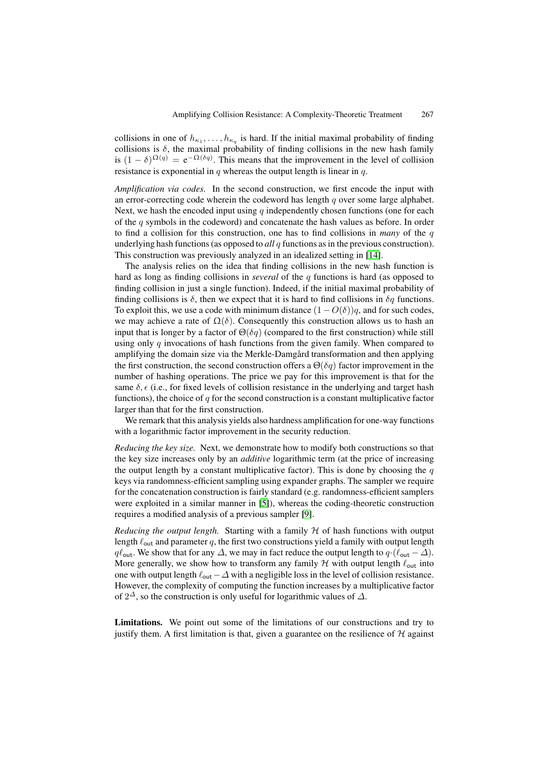collisions in one of  $h_{\kappa_1}, \ldots, h_{\kappa_q}$  is hard. If the initial maximal probability of finding collisions is  $\delta$ , the maximal probability of finding collisions in the new hash family is  $(1 - \delta)^{\Omega(q)} = e^{-\Omega(\delta q)}$ . This means that the improvement in the level of collision resistance is exponential in  $q$  whereas the output length is linear in  $q$ .

*Amplification via codes.* In the second construction, we first encode the input with an error-correcting code wherein the codeword has length q over some large alphabet. Next, we hash the encoded input using q independently chosen functions (one for each of the q symbols in the codeword) and concatenate the hash values as before. In order to find a collision for this construction, one has to find collisions in *many* of the q underlying hash functions (as opposed to *all* q functions as in the previous construction). This construction was previously analyzed in an idealized setting in [14].

The analysis relies on the idea that finding collisions in the new hash function is hard as long as finding collisions in *several* of the q functions is hard (as opposed to finding collision in just a single function). Indeed, if the initial maximal probability of finding collisions is  $\delta$ , then we expect that it is hard to find collisio[ns in](#page-18-3)  $\delta q$  functions. To exploit this, we use a code with minimum distance  $(1 - O(\delta))q$ , and for such codes, we may achieve a rate of  $\Omega(\delta)$ . Consequently this construction allows us to hash an input that is longer by a factor of  $\Theta(\delta q)$  (compared to the first construction) while still using only q invocations of hash functions from the given family. When compared to amplifying the domain size via the Merkle-Damgård transformation and then applying the first construction, the second construction offers a  $\Theta(\delta q)$  factor improvement in the number of hashing operations. The price we pay for this improvement is that for the same  $\delta$ ,  $\epsilon$  (i.e., for fixed levels of collision resistance in the underlying and target hash functions), the choice of q for the second construction is a constant multiplicative factor larger than that for the first construction.

We remark that this analysis yields also hardness amplification for one-way functions with a logarithmic factor improvement in the security reduction.

*Reducing the key size.* Next, we demonstrate how to modify both constructions so that the key size increases only by an *additive* logarithmic term (at the price of increasing the output length by a constant multiplicative factor). This is done by choosing the  $q$ keys via randomness-efficient sampling using expander graphs. The sampler we require for the concatenation construction is fairly standard (e.g. randomness-efficient samplers were exploited in a similar manner in [5]), whereas the coding-theoretic construction requires a modified analysis of a previous sampler [9].

*Reducing the output length.* Starting with a family  $H$  of hash functions with output length  $\ell_{\text{out}}$  and parameter q, the first two constructions yield a family with output length  $q\ell_{\text{out}}$ . We show that for any  $\Delta$ , we may [in](#page-18-12) fact reduce the output length to  $q \cdot (\ell_{\text{out}} - \Delta)$ . More generally, we show how to transform any fa[mi](#page-18-13)ly  $H$  with output length  $\ell_{\text{out}}$  into one with output length  $\ell_{\text{out}}-\Delta$  with a negligible loss in the level of collision resistance. However, the complexity of computing the function increases by a multiplicative factor of  $2^{\Delta}$ , so the construction is only useful for logarithmic values of  $\Delta$ .

**Limitations.** We point out some of the limitations of our constructions and try to justify them. A first limitation is that, given a guarantee on the resilience of  $H$  against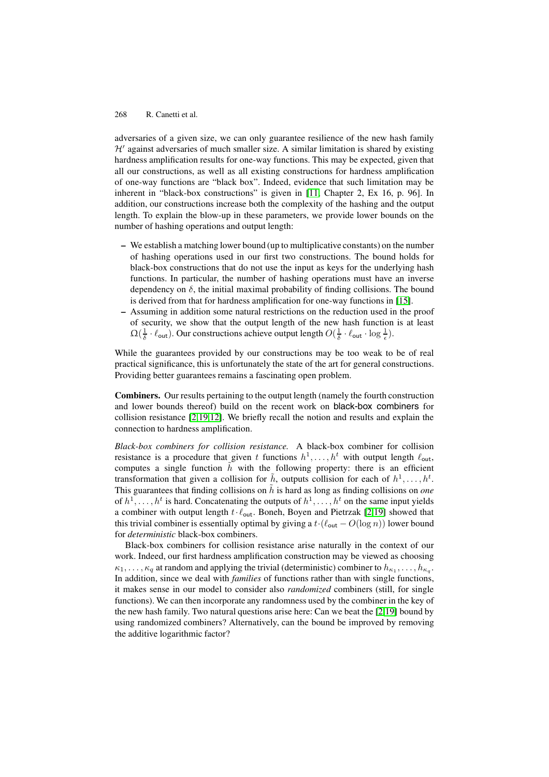adversaries of a given size, we can only guarantee resilience of the new hash family  $H'$  against adversaries of much smaller size. A similar limitation is shared by existing hardness amplification results for one-way functions. This may be expected, given that all our constructions, as well as all existing constructions for hardness amplification of one-way functions are "black box". Indeed, evidence that such limitation may be inherent in "black-box constructions" is given in [11, Chapter 2, Ex 16, p. 96]. In addition, our constructions increase both the complexity of the hashing and the output length. To explain the blow-up in these parameters, we provide lower bounds on the number of hashing operations and output length:

- **–** We establish a matching lower bound (up to mult[ipli](#page-18-14)cative constants) on the number of hashing operations used in our first two constructions. The bound holds for black-box constructions that do not use the input as keys for the underlying hash functions. In particular, the number of hashing operations must have an inverse dependency on  $\delta$ , the initial maximal probability of finding collisions. The bound is derived from that for hardness amplification for one-way functions in [15].
- **–** Assuming in addition some natural restrictions on the reduction used in the proof of security, we show that the output length of the new hash function is at least  $\Omega(\frac{1}{\delta} \cdot \ell_{\text{out}})$ . Our constructions achieve output length  $O(\frac{1}{\delta} \cdot \ell_{\text{out}} \cdot \log \frac{1}{\epsilon})$ .

While the guarantees provided by our constructions may be too weak to [be](#page-18-7) of real practical significance, this is unfortunately the state of the art for general constructions. Providing better guarantees remains a fascinating open problem.

**Combiners.** Our results pertaining to the output length (namely the fourth construction and lower bounds thereof) build on the recent work on black-box combiners for collision resistance [2,19,12]. We briefly recall the notion and results and explain the connection to hardness amplification.

*Black-box combiners for collision resistance.* A black-box combiner for collision resistance is a procedure that given t functions  $h^1, \ldots, h^t$  with output length  $\ell_{\text{out}}$ , computes a single [fu](#page-18-5)[nc](#page-18-6)[tion](#page-18-15)  $\tilde{h}$  with the following property: there is an efficient transformation that given a collision for  $\tilde{h}$ , outputs collision for each of  $h^1, \ldots, h^t$ . This guarantees that finding collisions on  $\tilde{h}$  is hard as long as finding collisions on *one* of  $h^1, \ldots, h^t$  is hard. Concatenating the outputs of  $h^1, \ldots, h^t$  on the same input yields a combiner with output length  $t \cdot \ell_{\text{out}}$ . Boneh, Boyen and Pietrzak [2,19] showed that this trivial combiner is essentially optimal by giving a  $t \cdot (\ell_{\text{out}} - O(\log n))$  lower bound for *deterministic* black-box combiners.

Black-box combiners for collision resistance arise naturally in the context of our work. Indeed, our first hardness amplification construction may be [vie](#page-18-5)[wed](#page-18-6) as choosing  $\kappa_1,\ldots,\kappa_q$  at random and applying the trivial (deterministic) combiner to  $h_{\kappa_1},\ldots,h_{\kappa_q}$ . In addition, since we deal with *families* of functions rather than with single functions, it makes sense in our model to consider also *randomized* combiners (still, for single functions). We can then incorporate any randomness used by the combiner in the key of the new hash family. Two natural questions arise here: Can we beat the [2,19] bound by using randomized combiners? Alternatively, can the bound be improved by removing the additive logarithmic factor?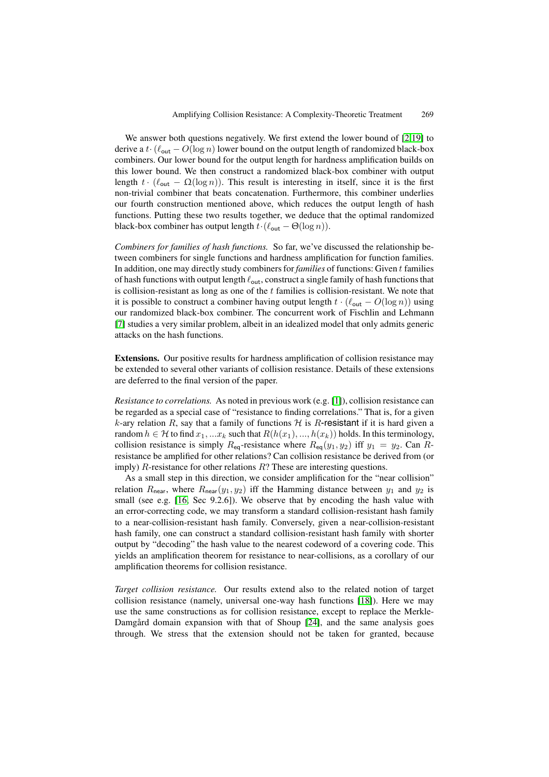We answer both questions negatively. We first extend the lower bound of [2,19] to derive a t· $(\ell_{\text{out}} - O(\log n))$  lower bound on the output length of randomized black-box combiners. Our lower bound for the output length for hardness amplification builds on this lower bound. We then construct a randomized black-box combiner with output length  $t \cdot (\ell_{\text{out}} - \Omega(\log n))$ . This result is interesting in itself, since it is [th](#page-18-5)[e fi](#page-18-6)rst non-trivial combiner that beats concatenation. Furthermore, this combiner underlies our fourth construction mentioned above, which reduces the output length of hash functions. Putting these two results together, we deduce that the optimal randomized black-box combiner has output length  $t \cdot (\ell_{\text{out}} - \Theta(\log n)).$ 

*Combiners for families of hash functions.* So far, we've discussed the relationship between combiners for single functions and hardness amplification for function families. In addition, one may directly study combiners for *families* of functions: Given t families of hash functions with output length  $\ell_{\text{out}}$ , construct a single family of hash functions that is collision-resistant as long as one of the  $t$  families is collision-resistant. We note that it is possible to construct a combiner having output length  $t \cdot (\ell_{\text{out}} - O(\log n))$  using our randomized black-box combiner. The concurrent work of Fischlin and Lehmann [7] studies a very similar problem, albeit in an idealized model that only admits generic attacks on the hash functions.

**Extensions.** Our positive results for hardness amplification of collision resistance may [be](#page-18-16) extended to several other variants of collision resistance. Details of these extensions are deferred to the final version of the paper.

*Resistance to correlations.* As noted in previous work (e.g. [1]), collision resistance can be regarded as a special case of "resistance to finding correlations." That is, for a given k-ary relation R, say that a family of functions  $H$  is R-resistant if it is hard given a random  $h \in \mathcal{H}$  to find  $x_1, ... x_k$  such that  $R(h(x_1), ..., h(x_k))$  holds. In this terminology, collision resistance is simply  $R_{eq}$ -resistance where  $R_{eq}(y_1, y_2)$  $R_{eq}(y_1, y_2)$  $R_{eq}(y_1, y_2)$  iff  $y_1 = y_2$ . Can Rresistance be amplified for other relations? Can collision resistance be derived from (or imply)  $R$ -resistance for other relations  $R$ ? These are interesting questions.

As a small step in this direction, we consider amplification for the "near collision" relation  $R_{\text{near}}$ , where  $R_{\text{near}}(y_1, y_2)$  iff the Hamming distance between  $y_1$  and  $y_2$  is small (see e.g. [16, Sec 9.2.6]). We observe that by encoding the hash value with an error-correcting code, we may transform a standard collision-resistant hash family to a near-collision-resistant hash family. Conversely, given a near-collision-resistant hash family, one can construct a standard collision-resistant hash family with shorter output by "deco[ding](#page-18-18)" the hash value to the nearest codeword of a covering code. This yields an amplification theorem for resistance to near-collisions, as a corollary of our amplification theorems for collision resistance.

*Target collision resistance.* Our results extend also to the related notion of target collision resistance (namely, universal one-way hash functions [18]). Here we may use the same constructions as for collision resistance, except to replace the Merkle-Damgård domain expansion with that of Shoup  $[24]$ , and the same analysis goes through. We stress that the extension should not be taken for granted, because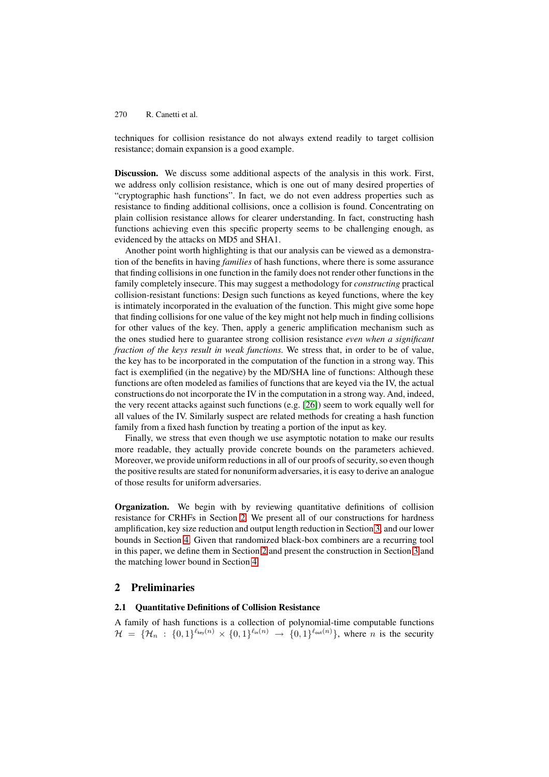techniques for collision resistance do not always extend readily to target collision resistance; domain expansion is a good example.

**Discussion.** We discuss some additional aspects of the analysis in this work. First, we address only collision resistance, which is one out of many desired properties of "cryptographic hash functions". In fact, we do not even address properties such as resistance to finding additional collisions, once a collision is found. Concentrating on plain collision resistance allows for clearer understanding. In fact, constructing hash functions achieving even this specific property seems to be challenging enough, as evidenced by the attacks on MD5 and SHA1.

Another point worth highlighting is that our analysis can be viewed as a demonstration of the benefits in having *families* of hash functions, where there is some assurance that finding collisions in one function in the family does not render other functions in the family completely insecure. This may suggest a methodology for *constructing* practical collision-resistant functions: Design such functions as keyed functions, where the key is intimately incorporated in the evaluation of the function. This might give some hope that finding collisions for one value of the key might not help much in finding collisions for other values of the key. Then, apply a generic amplification mechanism such as the ones studied here to guarantee strong collision resistance *even when a significant fraction of the keys result in weak functions.* We stress that, in order to be of value, the key has to be incorporated in the computation of the function in a strong way. This fact is exemplified (in the negative) by the MD/SHA line of functions: Although these functions are often modeled as families of functions that are keyed via the IV, the actual constructions do not incorporate the IV in the computation in a strong way. And, indeed, the very recent attacks against such functions (e.g. [26]) seem to work equally well for all values of the IV. Similarly suspect are related methods for creating a hash function family from a fixed hash function by treating a portion of the input as key.

Finally, we stress that even though we use asymptotic notation to make our results more readable, they actually provide concrete b[ound](#page-19-3)s on the parameters achieved. Moreover, we provide uniform reductions in all of our proofs of security, so even though the positive results are stated for nonuniform adversaries, it is easy to derive an analogue of those results for uniform adversaries.

**Organization.** We begin with by reviewing quantitative definitions of collision resistance for CRHFs in Section 2. We present all of our constructions for hardness amplification, key size reduction and output length reduction in Section 3, and our lower bounds in Section 4. Given that randomized black-box combiners are a recurring tool in this paper, we define them in Section 2 and present the construction in Section 3 and the matching lower bound in Sect[ion](#page-6-0) 4.

## **2 Preliminar[ie](#page-15-0)s**

## **2.1 Quantitative Definitions of C[olli](#page-15-0)sion Resistance**

<span id="page-6-0"></span>A family of hash functions is a collection of polynomial-time computable functions  $\mathcal{H} = \{ \mathcal{H}_n : \{0,1\}^{\ell_{\mathsf{key}}(n)} \times \{0,1\}^{\ell_{\mathsf{in}}(n)} \rightarrow \{0,1\}^{\ell_{\mathsf{out}}(n)} \},$  where n is the security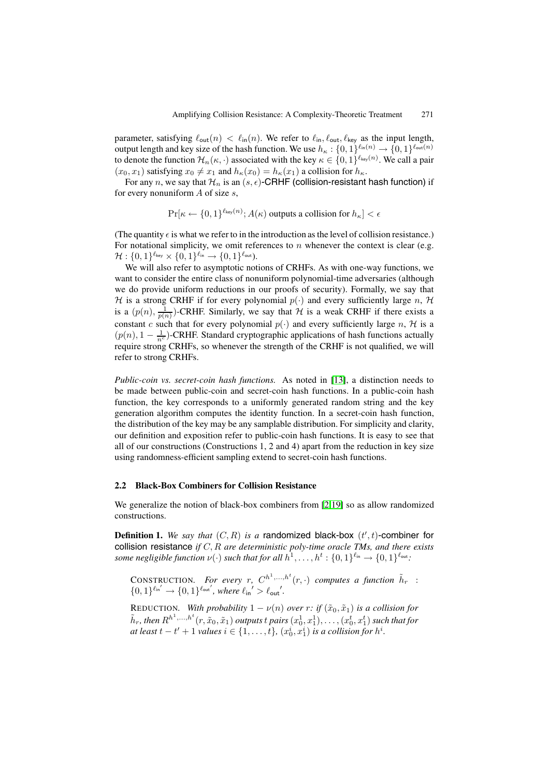parameter, satisfying  $\ell_{\text{out}}(n) < \ell_{\text{in}}(n)$ . We refer to  $\ell_{\text{in}}$ ,  $\ell_{\text{out}}$ ,  $\ell_{\text{key}}$  as the input length, output length and key size of the hash function. We use  $h_{\kappa} : \{0,1\}^{\ell_{\text{in}}(n)} \to \{0,1\}^{\ell_{\text{out}}(n)}$ to denote the function  $\mathcal{H}_n(\kappa, \cdot)$  associated with the key  $\kappa \in \{0,1\}^{\ell_{\sf key}(n)}$ . We call a pair  $(x_0, x_1)$  satisfying  $x_0 \neq x_1$  and  $h_{\kappa}(x_0) = h_{\kappa}(x_1)$  a collision for  $h_{\kappa}$ .

For any n, we say that  $\mathcal{H}_n$  is an  $(s, \epsilon)$ -CRHF (collision-resistant hash function) if for every nonuniform  $A$  of size  $s$ ,

$$
\Pr[\kappa \leftarrow \{0, 1\}^{\ell_{\text{key}}(n)}; A(\kappa) \text{ outputs a collision for } h_{\kappa}] < \epsilon
$$

(The quantity  $\epsilon$  is what we refer to in the introduction as the level of collision resistance.) For notational simplicity, we omit references to n whenever the context is clear (e.g.  $\mathcal{H}: \{0,1\}^{\ell_{\text{key}}} \times \{0,1\}^{\ell_{\text{in}}} \rightarrow \{0,1\}^{\ell_{\text{out}}}.$ 

We will also refer to asymptotic notions of CRHFs. As with one-way functions, we want to consider the entire class of nonuniform polynomial-time adversaries (although we do provide uniform reductions in our proofs of security). Formally, we say that H is a strong CRHF if for every polynomial  $p(\cdot)$  and every sufficiently large n, H is a  $(p(n), \frac{1}{p(n)})$ -CRHF. Similarly, we say that H is a weak CRHF if there exists a constant c such that for every polynomial  $p(\cdot)$  and every sufficiently large n, H is a  $(p(n), 1 - \frac{1}{n^c})$ -CRHF. Standard cryptographic applications of hash functions actually require strong CRHFs, so whenever the strength of the CRHF is not qualified, we will refer to strong CRHFs.

*Public-coin vs. secret-coin hash functions.* As noted in [13], a distinction needs to be made between public-coin and secret-coin hash functions. In a public-coin hash function, the key corresponds to a uniformly generated random string and the key generation algorithm computes the identity function. In a secret-coin hash function, the distribution of the key may be any samplable distributio[n. F](#page-18-19)or simplicity and clarity, our definition and exposition refer to public-coin hash functions. It is easy to see that all of our constructions (Constructions 1, 2 and 4) apart from the reduction in key size using randomness-efficient sampling extend to secret-coin hash functions.

### **2.2 Black-Box Combiners for Collision Resistance**

We generalize the notion of black-box combiners from [2,19] so as allow randomized constructions.

**Definition 1.** We say that  $(C, R)$  is a randomized black-box  $(t', t)$ -combiner for collision resistance *if* C,R *are deterministic poly-tim[e o](#page-18-5)[rac](#page-18-6)le TMs, and there exists some negligible function*  $\nu(\cdot)$  *such that for all*  $h^1, \ldots, h^t : \{0, 1\}^{\ell_{\text{in}}} \to \{0, 1\}^{\ell_{\text{out}}}$ :

CONSTRUCTION. For every r,  $C^{h^1,\ldots,h^t}(r,\cdot)$  computes a function  $\tilde{h}_r$  :  $\{0,1\}^{\ell_{\sf in'}} \to \{0,1\}^{\ell_{\sf out'}},$  where  ${\ell_{\sf in'}}' > {\ell_{\sf out'}}'.$ 

REDUCTION. With probability  $1 - \nu(n)$  over r: if  $(\tilde{x}_0, \tilde{x}_1)$  is a collision for  $\tilde{h}_r$ , then  $R^{h^1,...,h^t}(r,\tilde{x}_0,\tilde{x}_1)$  outputs  $t$  pairs  $(x_0^1,x_1^1),\ldots,(x_0^t,x_1^t)$  such that for *at least*  $t - t' + 1$  *values*  $i \in \{1, \ldots, t\}$ ,  $(x_0^i, x_1^i)$  *is a collision for*  $h^i$ .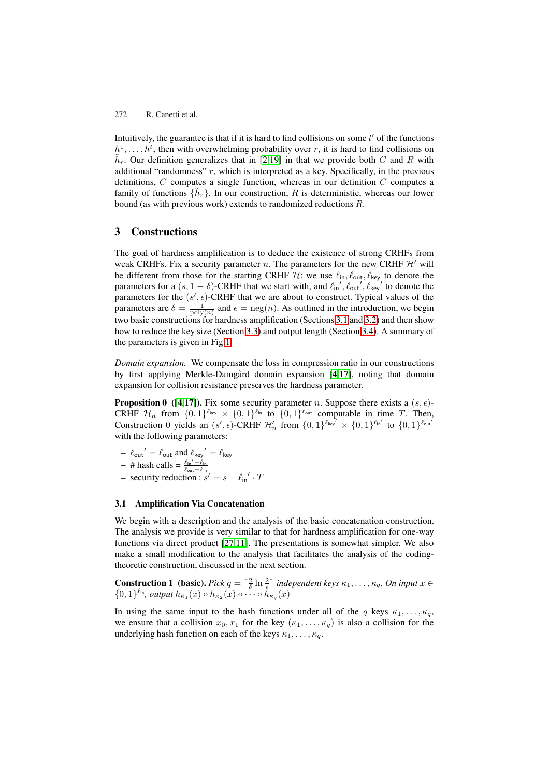Intuitively, the guarantee is that if it is hard to find collisions on some  $t'$  of the functions  $h^1, \ldots, h^t$ , then with overwhelming probability over r, it is hard to find collisions on  $h_r$ . Our definition generalizes that in [2,19] in that we provide both C and R with additional "randomness"  $r$ , which is interpreted as a key. Specifically, in the previous definitions,  $C$  computes a single function, whereas in our definition  $C$  computes a family of functions  $\{h_r\}$ . In our construction, R is deterministic, whereas our lower bound (as with previous work) extends [to](#page-18-5) [ran](#page-18-6)domized reductions R.

# **3 Constructions**

The goal of hardness amplification is to deduce the existence of strong CRHFs from weak CRHFs. Fix a security parameter n. The parameters for the new CRHF  $\mathcal{H}'$  will be different from those for the starting CRHF  $H$ : we use  $\ell_{\text{in}}$ ,  $\ell_{\text{out}}$ ,  $\ell_{\text{key}}$  to denote the parameters for a  $(s, 1 - \delta)$ -CRHF that we start with, and  $\ell_{\text{in}}', \ell_{\text{out}}', \ell_{\text{key}}'$  to denote the parameters for the  $(s', \epsilon)$ -CRHF that we are about to construct. Typical values of the parameters are  $\delta = \frac{1}{\text{poly}(n)}$  and  $\epsilon = \text{neg}(n)$ . As outlined in the introduction, we begin two basic constructions for hardness amplification (Sections 3.1 and 3.2) and then show how to reduce the key size (Section 3.3) and output length (Section 3.4). A summary of the parameters is given in Fig 1.

*Domain expansion.* We compensate the loss in compressio[n rat](#page-8-0)io i[n ou](#page-10-0)r constructions by first applying Merkle-Damgår[d d](#page-11-0)omain expansion [4,17], [notin](#page-13-0)g that domain expansion for collision resista[nc](#page-13-1)e preserves the hardness parameter.

**Proposition 0 ([4,17]).** Fix some security parameter n. Suppose there exists a  $(s, \epsilon)$ -CRHF  $\mathcal{H}_n$  from  $\{0,1\}^{\ell_{\text{key}}} \times \{0,1\}^{\ell_{\text{in}}}$  to  $\{0,1\}^{\ell_{\text{out}}}$  co[mp](#page-18-2)[utab](#page-18-1)le in time T. Then, Construction 0 yields an  $(s', \epsilon)$ -CRHF  $\mathcal{H}'_n$  from  $\{0, 1\}^{\ell_{\text{key}}} \times \{0, 1\}^{\ell_{\text{in}}'}$  to  $\{0, 1\}^{\ell_{\text{out}}'}$ with the following parameters:

- $\ell_{\text{out}}' = \ell_{\text{out}}$  [an](#page-18-2)[d](#page-18-1)  $\ell_{\text{key}}' = \ell_{\text{key}}$
- $-$  # hash calls =  $\frac{\ell_{\text{in}}' \ell_{\text{in}}}{\ell_{\text{out}} \ell_{\text{in}}}$
- **–** security reduction :  $s' = s \ell_{\text{in}}' \cdot T$

## **3.1 Amplification Via Concatenation**

<span id="page-8-0"></span>We begin with a description and the analysis of the basic concatenation construction. The analysis we provide is very similar to that for hardness amplification for one-way functions via direct product [27,11]. The presentations is somewhat simpler. We also make a small modification to the analysis that facilitates the analysis of the codingtheoretic construction, discussed in the next section.

**Construction 1** (basic). *Pick*  $q = \lceil \frac{2}{\delta} \ln \frac{2}{\epsilon} \rceil$  independent keys  $\kappa_1, \ldots, \kappa_q$ . On input  $x \in$  $\{0,1\}^{\ell_{\text{in}}}$  $\{0,1\}^{\ell_{\text{in}}}$  $\{0,1\}^{\ell_{\text{in}}}$ , output  $h_{\kappa_1}(x) \circ h_{\kappa_2}(x) \circ \cdots \circ \overset{\iota}{h}_{\kappa_q}(x)$ 

In using the same input to the hash functions under all of the q keys  $\kappa_1, \ldots, \kappa_q$ , we ensure that a collision  $x_0, x_1$  for the key  $(\kappa_1, \ldots, \kappa_q)$  is also a collision for the underlying hash function on each of the keys  $\kappa_1, \ldots, \kappa_q$ .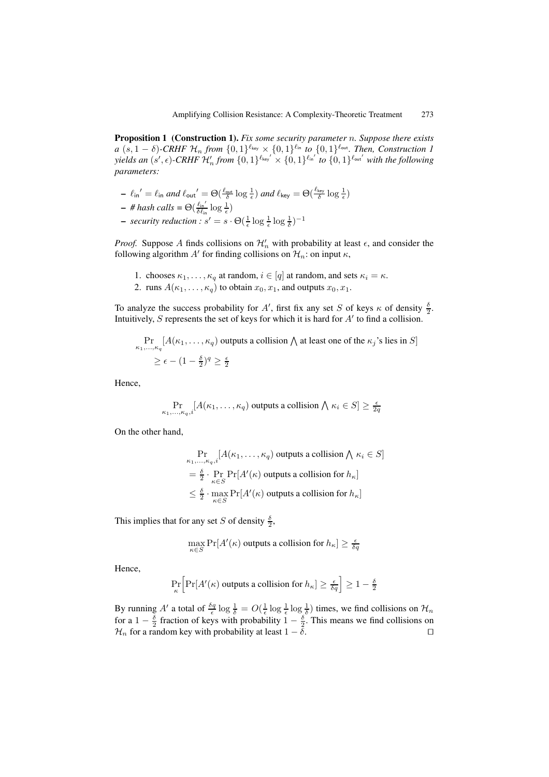**Proposition 1 (Construction 1).** *Fix some security parameter* n*. Suppose there exists a*  $(s, 1 - \delta)$ -CRHF  $\mathcal{H}_n$  from  $\{0, 1\}^{\ell_{\text{key}}} \times \{0, 1\}^{\ell_{\text{in}}}$  to  $\{0, 1\}^{\ell_{\text{out}}}$ . Then, Construction 1  $yields$  an  $(s', \epsilon)$ -CRHF  $\mathcal{H}'_n$  from  $\{0, 1\}^{\ell_{\text{key}'}} \times \{0, 1\}^{\ell_{\text{inf}'}}$  to  $\{0, 1\}^{\ell_{\text{out}'}}$  with the following *parameters:*

**–**  $\ell_{\text{in}}' = \ell_{\text{in}}$  and  $\ell_{\text{out}}' = \Theta(\frac{\ell_{\text{out}}}{\delta} \log \frac{1}{\epsilon})$  and  $\ell_{\text{key}} = \Theta(\frac{\ell_{\text{key}}}{\delta} \log \frac{1}{\epsilon})$ 

$$
\textit{\texttt{--}} \textit{\# hash calls} = \Theta\big(\textstyle \frac{\ell_{\text{in}}'}{\delta \ell_{\text{in}}} \log \textstyle \frac{1}{\epsilon}\big)
$$

**−** *security reduction :*  $s' = s \cdot \Theta(\frac{1}{\epsilon} \log \frac{1}{\epsilon} \log \frac{1}{\delta})^{-1}$ 

*Proof.* Suppose A finds collisions on  $\mathcal{H}'_n$  with probability at least  $\epsilon$ , and consider the following algorithm  $A'$  for finding collisions on  $\mathcal{H}_n$ : on input  $\kappa$ ,

- 1. chooses  $\kappa_1, \ldots, \kappa_q$  at random,  $i \in [q]$  at random, and sets  $\kappa_i = \kappa$ .
- 2. runs  $A(\kappa_1,\ldots,\kappa_q)$  to obtain  $x_0, x_1$ , and outputs  $x_0, x_1$ .

To analyze the success probability for A', first fix any set S of keys  $\kappa$  of density  $\frac{\delta}{2}$ . Intuitively, S represents the set of keys for which it is hard for  $A'$  to find a collision.

$$
\Pr_{\kappa_1,\ldots,\kappa_q}[A(\kappa_1,\ldots,\kappa_q)\text{ outputs a collision }\bigwedge\text{ at least one of the }\kappa_j\text{'s lies in }S]
$$
  

$$
\geq \epsilon - (1 - \frac{\delta}{2})^q \geq \frac{\epsilon}{2}
$$

Hence,

$$
\Pr_{\kappa_1,\ldots,\kappa_q,i}[A(\kappa_1,\ldots,\kappa_q)\text{ outputs a collision }\bigwedge \kappa_i\in S]\geq \frac{\epsilon}{2q}
$$

On the other hand,

$$
\Pr_{\kappa_1, \ldots, \kappa_q, i} [A(\kappa_1, \ldots, \kappa_q) \text{ outputs a collision } \wedge \kappa_i \in S]
$$
\n
$$
= \frac{\delta}{2} \cdot \Pr_{\kappa \in S} \Pr[A'(\kappa) \text{ outputs a collision for } h_{\kappa}]
$$
\n
$$
\leq \frac{\delta}{2} \cdot \max_{\kappa \in S} \Pr[A'(\kappa) \text{ outputs a collision for } h_{\kappa}]
$$

This implies that for any set S of density  $\frac{\delta}{2}$ ,

$$
\max_{\kappa \in S} \Pr[A'(\kappa) \text{ outputs a collision for } h_{\kappa}] \geq \frac{\epsilon}{\delta q}
$$

Hence,

$$
\Pr_{\kappa}\Big[\Pr[A'(\kappa) \text{ outputs a collision for } h_{\kappa}] \geq \tfrac{\epsilon}{\delta q}\Big] \geq 1-\tfrac{\delta}{2}
$$

By running A' a total of  $\frac{\delta q}{\epsilon} \log \frac{1}{\delta} = O(\frac{1}{\epsilon} \log \frac{1}{\epsilon} \log \frac{1}{\delta})$  times, we find collisions on  $\mathcal{H}_n$ for a  $1 - \frac{\delta}{2}$  fraction of keys with probability  $1 - \frac{\delta}{2}$ . This means we find collisions on  $\mathcal{H}_n$  for a random key with probability at least  $1 - \delta$ .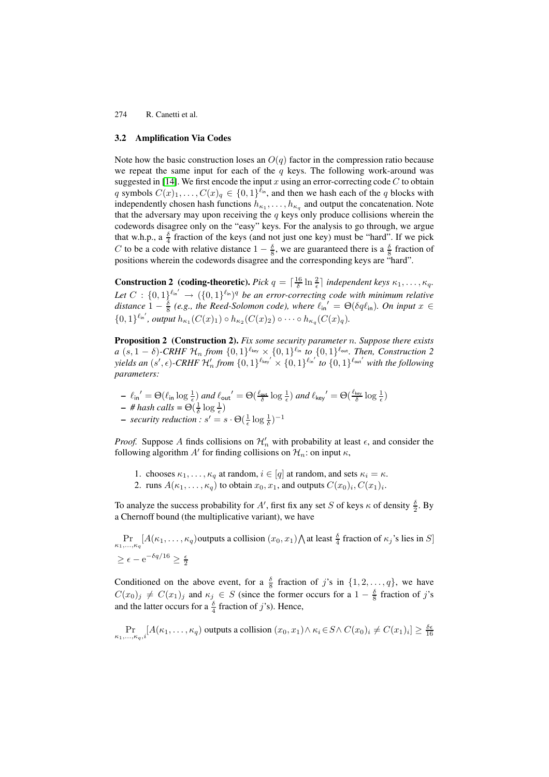### **3.2 Amplification Via Codes**

<span id="page-10-0"></span>Note how the basic construction loses an  $O(q)$  factor in the compression ratio because we repeat the same input for each of the  $q$  keys. The following work-around was suggested in [14]. We first encode the input x using an error-correcting code  $C$  to obtain q symbols  $C(x)_1,\ldots,C(x)_q \in \{0,1\}^{\ell_{\text{in}}}$ , and then we hash each of the q blocks with independently chosen hash functions  $h_{\kappa_1}, \ldots, h_{\kappa_q}$  and output the concatenation. Note that the adversary may upon receiving the  $q$  keys only produce collisions wherein the codewords di[sag](#page-18-3)ree only on the "easy" keys. For the analysis to go through, we argue that w.h.p., a  $\frac{\delta}{4}$  fraction of the keys (and not just one key) must be "hard". If we pick C to be a code with relative distance  $1 - \frac{\delta}{8}$ , we are guaranteed there is a  $\frac{\delta}{8}$  fraction of positions wherein the codewords disagree and the corresponding keys are "hard".

**Construction 2** (coding-theoretic). Pick  $q = \left[\frac{16}{\delta} \ln \frac{2}{\epsilon}\right]$  independent keys  $\kappa_1, \ldots, \kappa_q$ . Let  $C: \{0,1\}^{\ell_{\text{in}}'} \to (\{0,1\}^{\ell_{\text{in}}})^q$  be an error-correcting code with minimum relative distance  $1 - \frac{\delta}{8}$  (e.g., the Reed-Solomon code), where  $\ell_{\text{in}}' = \Theta(\delta q \ell_{\text{in}})$ . On input  $x \in$  $\{0,1\}^{\ell_{\rm in}'},$  output  $h_{\kappa_1}(C(x)_1) \circ h_{\kappa_2}(C(x)_2) \circ \cdots \circ h_{\kappa_q}(C(x)_q)$ .

**Proposition 2 (Construction 2).** *Fix some security parameter* n*. Suppose there exists*  $a (s, 1 - \delta)$ -CRHF  $\mathcal{H}_n$  from  $\{0, 1\}^{\ell_{\text{key}}} \times \{0, 1\}^{\ell_{\text{in}}}$  *to*  $\{0, 1\}^{\ell_{\text{out}}}$ . Then, Construction 2  $yields$  an  $(s', \epsilon)$ -CRHF  $\mathcal{H}'_n$  from  $\{0, 1\}^{\ell_{\text{key}'}} \times \{0, 1\}^{\ell_{\text{in}'}}$  to  $\{0, 1\}^{\ell_{\text{out}'}}$  with the following *parameters:*

<span id="page-10-1"></span> $\ell_{\text{in}}' = \Theta(\ell_{\text{in}} \log \frac{1}{\epsilon})$  *and*  $\ell_{\text{out}}' = \Theta(\frac{\ell_{\text{out}}}{\delta} \log \frac{1}{\epsilon})$  *and*  $\ell_{\text{key}}' = \Theta(\frac{\ell_{\text{key}}}{\delta} \log \frac{1}{\epsilon})$  $-$  # hash calls =  $\Theta(\frac{1}{\delta}\log\frac{1}{\epsilon})$ **–** security reduction :  $s' = s \cdot \Theta(\frac{1}{\epsilon} \log \frac{1}{\delta})^{-1}$ 

*Proof.* Suppose A finds collisions on  $\mathcal{H}'_n$  with probability at least  $\epsilon$ , and consider the following algorithm  $A'$  for finding collisions on  $\mathcal{H}_n$ : on input  $\kappa$ ,

- 1. chooses  $\kappa_1, \ldots, \kappa_q$  at random,  $i \in [q]$  at random, and sets  $\kappa_i = \kappa$ .
- 2. runs  $A(\kappa_1,\ldots,\kappa_q)$  to obtain  $x_0, x_1$ , and outputs  $C(x_0)_i, C(x_1)_i$ .

To analyze the success probability for A', first fix any set S of keys  $\kappa$  of density  $\frac{\delta}{2}$ . By a Chernoff bound (the multiplicative variant), we have

 $\Pr_{\kappa_1,...,\kappa_q}[A(\kappa_1,...,\kappa_q)$  outputs a collision  $(x_0,x_1)\bigwedge$  at least  $\frac{\delta}{4}$  fraction of  $\kappa_j$ 's lies in S]  $\geq \epsilon - e^{-\delta q/16} \geq \frac{\epsilon}{2}$ 

Conditioned on the above event, for a  $\frac{6}{8}$  fraction of j's in  $\{1, 2, ..., q\}$ , we have  $C(x_0)_j \neq C(x_1)_j$  and  $\kappa_j \in S$  (since the former occurs for a  $1 - \frac{\delta}{8}$  fraction of j's and the latter occurs for a  $\frac{\delta}{4}$  fraction of *j*'s). Hence,

$$
\Pr_{\kappa_1,\ldots,\kappa_q,i}[A(\kappa_1,\ldots,\kappa_q)\text{ outputs a collision } (x_0,x_1)\wedge \kappa_i\in S\wedge C(x_0)_i\neq C(x_1)_i]\geq \frac{\delta\epsilon}{16}
$$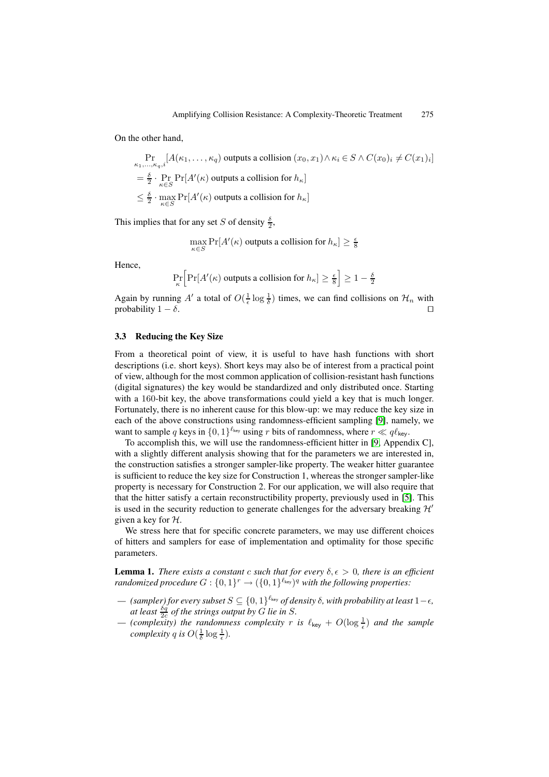On the other hand,

$$
\Pr_{\substack{\kappa_1,\ldots,\kappa_q,i}}[A(\kappa_1,\ldots,\kappa_q) \text{ outputs a collision } (x_0,x_1) \wedge \kappa_i \in S \wedge C(x_0)_i \neq C(x_1)_i]
$$
\n
$$
= \frac{\delta}{2} \cdot \Pr_{\kappa \in S} \Pr[A'(\kappa) \text{ outputs a collision for } h_{\kappa}]
$$
\n
$$
\leq \frac{\delta}{2} \cdot \max_{\kappa \in S} \Pr[A'(\kappa) \text{ outputs a collision for } h_{\kappa}]
$$

This implies that for any set S of density  $\frac{\delta}{2}$ ,

$$
\max_{\kappa \in S} \Pr[A'(\kappa) \text{ outputs a collision for } h_{\kappa}] \geq \frac{\epsilon}{8}
$$

Hence,

$$
\Pr_{\kappa} \left[ \Pr[A'(\kappa) \text{ outputs a collision for } h_{\kappa}] \ge \frac{\epsilon}{8} \right] \ge 1 - \frac{\delta}{2}
$$

Again by running A' a total of  $O(\frac{1}{\epsilon} \log \frac{1}{\delta})$  times, we can find collisions on  $\mathcal{H}_n$  with probability  $1 - \delta$ .

### **3.3 Reducing the Key Size**

<span id="page-11-0"></span>From a theoretical point of view, it is useful to have hash functions with short descriptions (i.e. short keys). Short keys may also be of interest from a practical point of view, although for the most common application of collision-resistant hash functions (digital signatures) the key would be standardized and only distributed once. Starting with a 160-bit key, the above transformations could yield a key that is much longer. Fortunately, there is no inherent cause for this blow-up: we may reduce the key size in each of the above constructions using randomness-efficient sampling [9], namely, we want to sample q keys in  $\{0,1\}^{\ell_{\text{key}}}$  using r bits of randomness, where  $r \ll q\ell_{\text{key}}$ .

To accomplish this, we will use the randomness-efficient hitter in [9, Appendix C], with a slightly different analysis showing that for the parameters we are interested in, the construction satisfies a stronger sampler-like property. The weaker [hit](#page-18-13)ter guarantee is sufficient to reduce the key size for Construction 1, whereas the stronger sampler-like property is necessary for Construction 2. For our application, we will [al](#page-18-13)so require that that the hitter satisfy a certain reconstructibility property, previously used in [5]. This is used in the security reduction to generate challenges for the adversary breaking  $\mathcal{H}'$ given a key for  $H$ .

We stress here that for specific concrete parameters, we may use different choices of hitters and samplers for ease of implementation and optimality for those [sp](#page-18-12)ecific parameters.

**Lemma 1.** *There exists a constant* c *such that for every*  $\delta, \epsilon > 0$ *, there is an efficient randomized procedure*  $G: \{0,1\}^r \rightarrow (\{0,1\}^{\ell_{\text{key}}})^q$  *with the following properties:* 

- $-$  (sampler) for every subset  $S \subseteq \{0, 1\}^{\ell_{\text{key}}}$  of density  $\delta$ , with probability at least 1− $\epsilon$ , *at least*  $\frac{\delta q}{2c}$  *of the strings output by G lie in S*.
- $-$  (complexity) the randomness complexity r is  $\ell_{\text{key}} + O(\log \frac{1}{\epsilon})$  and the sample *complexity q is*  $O(\frac{1}{\delta} \log \frac{1}{\epsilon})$ *.*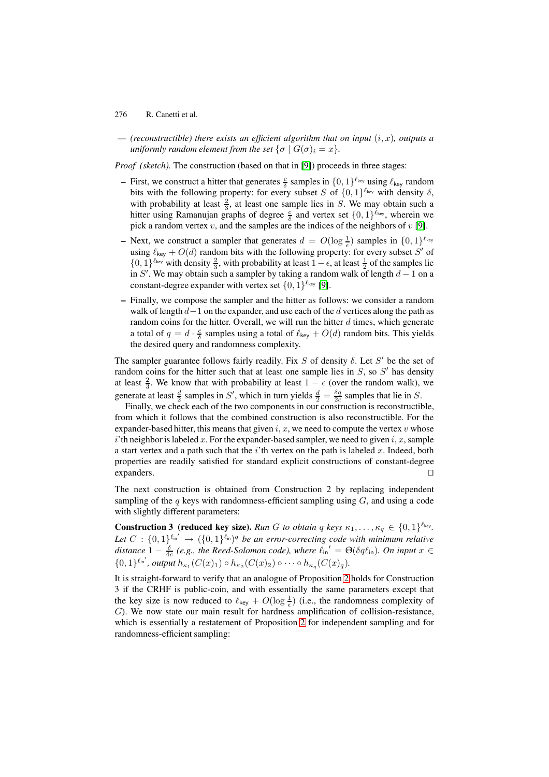$-$  (reconstructible) there exists an efficient algorithm that on input  $(i, x)$ , outputs a *uniformly random element from the set*  $\{\sigma | G(\sigma)\} = x\}.$ 

*Proof (sketch)*. The construction (based on that in [9]) proceeds in three stages:

- **–** First, we construct a hitter that generates  $\frac{c}{\delta}$  samples in  $\{0, 1\}^{\ell_{\text{key}}}$  using  $\ell_{\text{key}}$  random bits with the following property: for every subset S of  $\{0,1\}^{\ell_{\text{key}}}$  with density  $\delta$ , with probability at least  $\frac{2}{3}$ , at least one sample lies in S. We may obtain such a hitter using Ramanujan graphs of degree  $\frac{c}{\delta}$  a[nd](#page-18-13) vertex set  $\{0,1\}^{\ell_{\text{key}}}$ , wherein we pick a random vertex v, and the samples are the indices of the neighbors of  $v$  [9].
- **–** Next, we construct a sampler that generates  $d = O(\log \frac{1}{\epsilon})$  samples in  $\{0, 1\}^{\ell_{\text{key}}}$ using  $\ell_{\text{key}} + O(d)$  random bits with the following property: for every subset S' of {0, 1}<sup> $\ell_{\text{key}}$ </sup> with density  $\frac{2}{3}$ , with probability at least 1 –  $\epsilon$ , at least  $\frac{1}{2}$  of the samples lie in S'. We may obtain such a sampler by taking a random walk of length  $d-1$  [on](#page-18-13) a constant-degree expander with vertex set  $\{0, 1\}^{\ell_{\text{key}}}$  [9].
- **–** Finally, we compose the sampler and the hitter as follows: we consider a random walk of length  $d-1$  on the expander, and use each of the d vertices along the path as random coins for the hitter. Overall, we will run the hitter  $d$  times, which generate a total of  $q = d \cdot \frac{c}{\delta}$  samples using a total of  $\ell_{\text{key}} + O(d)$  $\ell_{\text{key}} + O(d)$  $\ell_{\text{key}} + O(d)$  random bits. This yields the desired query and randomness complexity.

The sampler guarantee follows fairly readily. Fix S of density  $\delta$ . Let S' be the set of random coins for the hitter such that at least one sample lies in  $S$ , so  $S'$  has density at least  $\frac{2}{3}$ . We know that with probability at least  $1 - \epsilon$  (over the random walk), we generate at least  $\frac{d}{2}$  samples in S', which in turn yields  $\frac{d}{2} = \frac{\delta q}{2c}$  samples that lie in S.

Finally, we check each of the two components in our construction is reconstructible, from which it follows that the combined construction is also reconstructible. For the expander-based hitter, this means that given i, x, we need to compute the vertex v whose i'th neighbor is labeled x. For the expander-based sampler, we need to given i, x, sample a start vertex and a path such that the  $i$ 'th vertex on the path is labeled  $x$ . Indeed, both properties are readily satisfied for standard explicit constructions of constant-degree expanders.  $\Box$ 

The next construction is obtained from Construction 2 by replacing independent sampling of the  $q$  keys with randomness-efficient sampling using  $G$ , and using a code with slightly different parameters:

**Construction 3 (reduced key size).** *Run G to obtain* q *keys*  $\kappa_1, \ldots, \kappa_q \in \{0, 1\}^{\ell_{\text{key}}}$ . Let  $C: \{0,1\}^{\ell_{\text{in}}'} \to (\{0,1\}^{\ell_{\text{in}}})^q$  be an error-correcting code with minimum relative distance  $1 - \frac{\delta}{4c}$  (e.g., the Reed-Solomon code), where  $\ell_{\text{in}}' = \Theta(\delta q \ell_{\text{in}})$ . On input  $x \in$  $\{0,1\}^{\ell_{\rm in'}},$  output  $h_{\kappa_1}(C(x)_1) \circ h_{\kappa_2}(C(x)_2) \circ \cdots \circ h_{\kappa_q}(C(x)_q)$ .

It is straight-forward to verify that an analogue of Proposition 2 holds for Construction 3 if the CRHF is public-coin, and with essentially the same parameters except that the key size is now reduced to  $\ell_{\text{key}} + O(\log \frac{1}{\epsilon})$  (i.e., the randomness complexity of G). We now state our main result for hardness amplification of collision-resistance, which is essentially a restatement of Proposition 2 for indep[en](#page-10-1)dent sampling and for randomness-efficient sampling: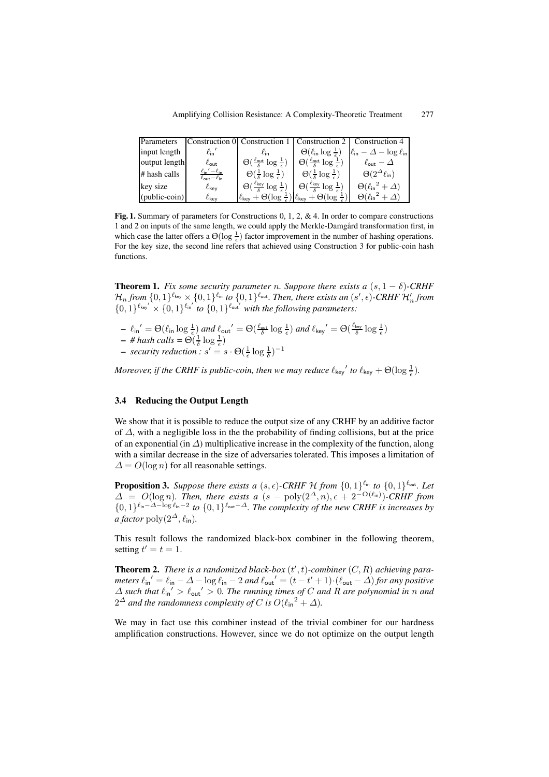| Parameters    |                                                                                |                                                                                                           |                                                                    | Construction 0 Construction 1   Construction 2   Construction 4 |
|---------------|--------------------------------------------------------------------------------|-----------------------------------------------------------------------------------------------------------|--------------------------------------------------------------------|-----------------------------------------------------------------|
| input length  | $\ell_{\sf in}'$                                                               | $\ell_{\text{in}}$                                                                                        | $\Theta(\ell_{\text{in}} \log \frac{1}{\epsilon})$                 | $ \ell_{\text{in}} - \Delta - \log \ell_{\text{in}} $           |
| output length | $\ell_{\sf out}$                                                               | $\Theta(\frac{\ell_{\text{out}}}{\delta} \log \frac{1}{\epsilon})$                                        | $\Theta(\frac{\ell_{\text{out}}}{\delta} \log \frac{1}{\epsilon})$ | $\ell_{\sf out} - \Delta$                                       |
| # hash calls  | $\ell_{\text{in}}' - \ell_{\text{in}}$<br>$\ell_{\text{out}}-\ell_{\text{in}}$ | $\Theta(\frac{1}{\epsilon} \log \frac{1}{\epsilon})$                                                      | $\Theta(\frac{1}{5} \log \frac{1}{\epsilon})$                      | $\Theta(2^{\Delta} \ell_{\text{in}})$                           |
| key size      | $\ell_{\sf kev}$                                                               | $\Theta(\frac{\ell_{\text{key}}}{5} \log \frac{1}{\epsilon})$                                             | $\Theta(\frac{\ell_{\text{key}}}{s} \log \frac{1}{\epsilon})$      | $\Theta(\ell_{\sf in}^2 + \Delta)$                              |
| (public-coin) | $\ell_{\sf kev}$                                                               | $\ell_{\text{key}} + \Theta(\log \frac{1}{\epsilon}) \ell_{\text{key}} + \Theta(\log \frac{1}{\epsilon})$ |                                                                    | $\Theta(\ell_{\sf in}{}^2 + \varDelta)$                         |

<span id="page-13-1"></span>Fig. 1. Summary of parameters for Constructions 0, 1, 2, & 4. In order to compare constructions 1 and 2 on inputs of the same length, we could apply the Merkle-Damgård transformation first, in which case the latter offers a  $\Theta(\log \frac{1}{\epsilon})$  factor improvement in the number of hashing operations. For the key size, the second line refers that achieved using Construction 3 for public-coin hash functions.

**Theorem 1.** *Fix some security parameter n. Suppose there exists a*  $(s, 1 - \delta)$ -CRHF  $\mathcal{H}_n$  from  $\{0,1\}^{\ell_\text{key}}\times \{0,1\}^{\ell_\text{in}}$  to  $\{0,1\}^{\ell_\text{out}}.$  Then, there exists an  $(s',\epsilon)$ -CRHF  $\mathcal{H}'_n$  from  ${0,1}^{\ell_{\text{key}}'} \times {0,1}^{\ell_{\text{in}}'}$  to  ${0,1}^{\ell_{\text{out}}'}$  with the following parameters:

- $\ell_{\text{in}}' = \Theta(\ell_{\text{in}} \log \frac{1}{\epsilon})$  *and*  $\ell_{\text{out}}' = \Theta(\frac{\ell_{\text{out}}}{\delta} \log \frac{1}{\epsilon})$  *and*  $\ell_{\text{key}}' = \Theta(\frac{\ell_{\text{key}}}{\delta} \log \frac{1}{\epsilon})$
- $-$  # hash calls =  $\Theta(\frac{1}{\delta} \log \frac{1}{\epsilon})$

**−** *security reduction*:  $s' = s \cdot \Theta(\frac{1}{\epsilon} \log \frac{1}{\delta})^{-1}$ 

*Moreover, if the CRHF is public-coin, then we may reduce*  $\ell_{\text{key}}'$  to  $\ell_{\text{key}} + \Theta(\log \frac{1}{\epsilon})$ .

## <span id="page-13-0"></span>**3.4 Reducing the Output Length**

We show that it is possible to reduce the output size of any CRHF by an additive factor of  $\Delta$ , with a negligible loss in the the probability of finding collisions, but at the price of an exponential (in  $\Delta$ ) multiplicative increase in the complexity of the function, along with a similar decrease in the size of adversaries tolerated. This imposes a limitation of  $\Delta = O(\log n)$  for all reasonable settings.

**Proposition 3.** Suppose there exists a  $(s, \epsilon)$ -CRHF  $H$  from  $\{0, 1\}^{\ell_{\text{in}}}$  to  $\{0, 1\}^{\ell_{\text{out}}}$ . Let  $\Delta = O(\log n)$ *. Then, there exists a*  $(s - poly(2^{\Delta}, n), \epsilon + 2^{-\Omega(\ell_{\text{in}})})$ *-CRHF from*  ${0,1}^{\ell_{\text{in}}-\Delta-\log \ell_{\text{in}}-2}$  to  ${0,1}^{\ell_{\text{out}}-\Delta}$ . The complexity of the new CRHF is increases by *a factor* poly $(2^{\Delta}, \ell_{\text{in}})$ .

<span id="page-13-2"></span>This result follows the randomized black-box combiner in the following theorem, setting  $t' = t = 1$ .

**Theorem 2.** There is a randomized black-box  $(t', t)$ -combiner  $(C, R)$  achieving para*meters*  $\ell_{\text{in}}' = \ell_{\text{in}} - \Delta - \log \ell_{\text{in}} - 2$  and  $\ell_{\text{out}}' = (t - t' + 1) \cdot (\ell_{\text{out}} - \Delta)$  for any positive  $\Delta$  such that  $\ell_{\text{in}}' > \ell_{\text{out}}' > 0$ . The running times of C and R are polynomial in n and  $2^{\Delta}$  and the randomness complexity of C is  $O(\ell_{\sf in}^2 + \Delta)$ .

We may in fact use this combiner instead of the trivial combiner for our hardness amplification constructions. However, since we do not optimize on the output length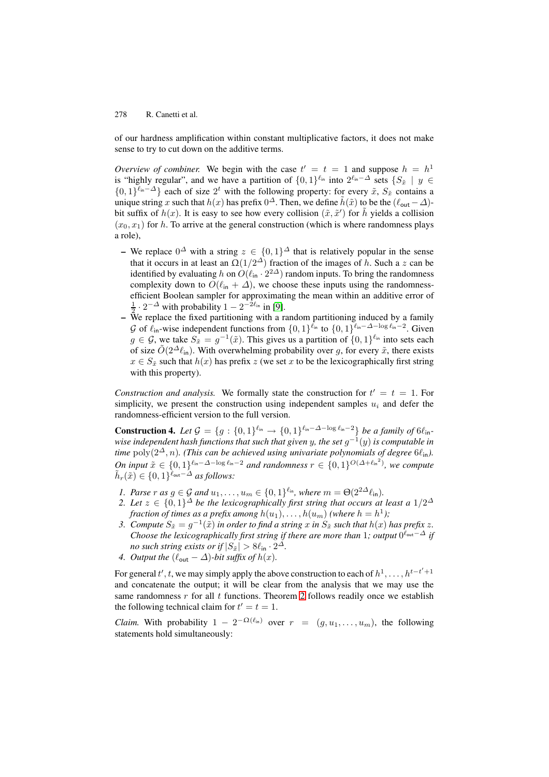of our hardness amplification within constant multiplicative factors, it does not make sense to try to cut down on the additive terms.

*Overview of combiner.* We begin with the case  $t' = t = 1$  and suppose  $h = h^1$ is "highly regular", and we have a partition of  $\{0, 1\}^{\ell_{\text{in}}}$  into  $2^{\ell_{\text{in}} - \Delta}$  sets  $\{S_{\tilde{x}} \mid y \in$  $\{0,1\}^{\ell_{\text{in}}-\Delta}\}$  each of size  $2^t$  with the following property: for every  $\tilde{x}$ ,  $S_{\tilde{x}}$  contains a unique string x such that  $h(x)$  has prefix  $0^{\Delta}$ . Then, we define  $\tilde{h}(\tilde{x})$  to be the  $(\ell_{\text{out}} - \Delta)$ bit suffix of  $h(x)$ . It is easy to see how every collision  $(\tilde{x}, \tilde{x}')$  for  $\tilde{h}$  yields a collision  $(x_0, x_1)$  for h. To arrive at the general construction (which is where randomness plays a role),

- **–** We replace  $0^{\Delta}$  with a string  $z \in \{0,1\}^{\Delta}$  that is relatively popular in the sense that it occurs in at least an  $\Omega(1/2^{\Delta})$  fraction of the images of h. Such a z can be identified by evaluating h on  $O(\ell_{\text{in}} \cdot 2^{2\Delta})$  random inputs. To bring the randomness complexity down to  $O(\ell_{\text{in}} + \Delta)$ , we choose these inputs using the randomnessefficient Boolean sampler for approximating the mean within an additive error of  $\frac{1}{2} \cdot 2^{-\Delta}$  with probability  $1 - 2^{-2\ell_{\text{in}}}$  in [9].
- **–** We replace the fixed partitioning with a random partitioning induced by a family G of  $\ell_{\text{in}}$ -wise independent functions from  $\{0, 1\}^{\ell_{\text{in}}}$  to  $\{0, 1\}^{\ell_{\text{in}}-\Delta-\log \ell_{\text{in}}-2}$ . Given  $g \in \mathcal{G}$ , we take  $S_{\tilde{x}} = g^{-1}(\tilde{x})$ . This gives us a partition of  $\{0,1\}^{\ell_{\text{in}}}$  into sets each of size  $O(2^{\Delta}\ell_{\text{in}})$ . With overwhelming [pr](#page-18-13)obability over g, for every  $\tilde{x}$ , there exists  $x \in S_{\tilde{x}}$  such that  $h(x)$  has prefix z (we set x to be the lexicographically first string with this property).

*Construction and analysis.* We formally state the construction for  $t' = t = 1$ . For simplicity, we present the construction using independent samples  $u_i$  and defer the randomness-efficient version to the full version.

**Construction 4.** *Let*  $\mathcal{G} = \{g : \{0,1\}^{\ell_{in}} \to \{0,1\}^{\ell_{in}-\Delta-\log \ell_{in}-2}\}$  *be a family of*  $6\ell_{in}$ *wise independent hash functions that such that given* y*, the set* g−<sup>1</sup>(y) *is computable in time*  $\text{poly}(2^{\Delta}, n)$ *. (This can be achieved using univariate polynomials of degree*  $6\ell_{\text{in}}$ *). On input*  $\tilde{x} \in \{0, 1\}^{\ell_{\text{in}} - \Delta - \log \ell_{\text{in}} - 2}$  *and randomness*  $r \in \{0, 1\}^{\mathcal{O}(\Delta + \ell_{\text{in}}^2)}$ *, we compute*  $\tilde{h}_r(\tilde{x}) \in \{0,1\}^{\tilde{\ell}_{\text{out}}-\tilde{\Delta}}$  *as follows:* 

- *1. Parse*  $r$  *as*  $g \in \mathcal{G}$  *and*  $u_1, \ldots, u_m \in \{0, 1\}^{\ell_{\text{in}}}$ *, where*  $m = \Theta(2^{2\Delta} \ell_{\text{in}})$ *.*
- *2. Let*  $z \in \{0,1\}^{\Delta}$  *be the lexicographically first string that occurs at least a*  $1/2^{\Delta}$ *fraction of times as a prefix among*  $h(u_1), \ldots, h(u_m)$  *(where*  $h = h^1$ *)*;
- *3. Compute*  $S_{\tilde{x}} = g^{-1}(\tilde{x})$  *in order to find a string* x *in*  $S_{\tilde{x}}$  *such that*  $h(x)$  *has prefix* z. *Choose the lexicographically first string if there are more than* 1*; output*  $0^{\ell_{\text{out}}-\Delta}$  *if no such string exists or if*  $|S_{\tilde{x}}| > 8\ell_{\text{in}} \cdot 2^{\Delta}$ .
- *4. Output the*  $(\ell_{\text{out}} \Delta)$ -bit suffix of  $h(x)$ .

For general  $t', t$ , we may simply apply the above construction to each of  $h^1, \ldots, h^{t-t'+1}$ and concatenate the output; it will be clear from the analysis that we may use the same randomness r for all t functions. Theorem 2 follows readily once we establish the following technical claim for  $t' = t = 1$ .

*Claim.* With probability  $1 - 2^{-\Omega(\ell_{\text{in}})}$  over  $r = (g, u_1, \ldots, u_m)$ , the following statements hold simultaneously: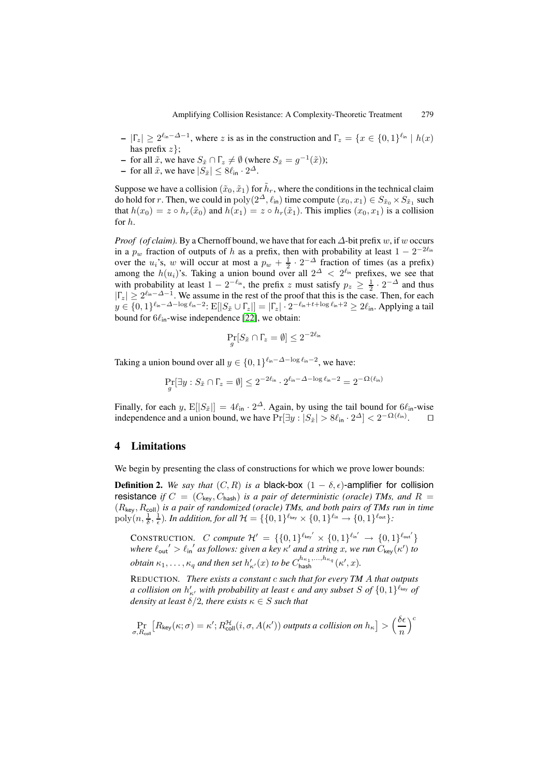- **–**  $|\Gamma_z|$  ≥  $2^{\ell_{\text{in}} \Delta 1}$ , where z is as in the construction and  $\Gamma_z = \{x \in \{0, 1\}^{\ell_{\text{in}}} \mid h(x)\}$ has prefix  $z$ };
- **−** for all  $\tilde{x}$ , we have  $S_{\tilde{x}} \cap \Gamma_z \neq \emptyset$  (where  $S_{\tilde{x}} = g^{-1}(\tilde{x})$ );
- **–** for all  $\tilde{x}$ , we have  $|S_{\tilde{x}}| \leq 8\ell_{\text{in}} \cdot 2^{\Delta}$ .

Suppose we have a collision  $(\tilde{x}_0, \tilde{x}_1)$  for  $\tilde{h}_r$ , where the conditions in the technical claim do hold for r. Then, we could in  $\text{poly}(2^{\Delta}, \ell_{\text{in}})$  time compute  $(x_0, x_1) \in S_{\tilde{x}_0} \times S_{\tilde{x}_1}$  such that  $h(x_0) = z \circ h_r(\tilde{x}_0)$  and  $h(x_1) = z \circ h_r(\tilde{x}_1)$ . This implies  $(x_0, x_1)$  is a collision for h.

*Proof (of claim).* By a Chernoff bound, we have that for each  $\Delta$ -bit prefix w, if w occurs in a  $p_w$  fraction of outputs of h as a prefix, then with probability at least  $1 - 2^{-2\ell_{\text{in}}}$ over the  $u_i$ 's, w will occur at most a  $p_w + \frac{1}{2} \cdot 2^{-\Delta}$  fraction of times (as a prefix) among the  $h(u_i)$ 's. Taking a union bound over all  $2^{\Delta} < 2^{\ell_{\text{in}}}$  prefixes, we see that with probability at least  $1 - 2^{-\ell_{\text{in}}}$ , the prefix z must satisfy  $p_z \geq \frac{1}{2} \cdot 2^{-\Delta}$  and thus  $|\Gamma_z| \geq 2^{\ell_{\text{in}} - \Delta - 1}$ . We assume in the rest of the proof that this is the case. Then, for each  $y \in \{0,1\}^{\ell_{\text{in}}-\Delta-\log \ell_{\text{in}}-2}$ :  $E[|S_{\tilde{x}} \cup \Gamma_z|] = |\Gamma_z| \cdot 2^{-\ell_{\text{in}}+t+\log \ell_{\text{in}}+2} \geq 2\ell_{\text{in}}$ . Applying a tail bound for  $6\ell_{\text{in}}$ -wise independence [22], we obtain:

$$
\Pr_g[S_{\tilde{x}} \cap \Gamma_z = \emptyset] \leq 2^{-2\ell_{\text{in}}}
$$

Taking a union bound over all  $y \in \{0, 1\}^{\ell_{\text{in}} - \Delta - \log \ell_{\text{in}} - 2}$  $y \in \{0, 1\}^{\ell_{\text{in}} - \Delta - \log \ell_{\text{in}} - 2}$  $y \in \{0, 1\}^{\ell_{\text{in}} - \Delta - \log \ell_{\text{in}} - 2}$ , we have:

$$
\Pr_g[\exists y: S_{\tilde{x}} \cap \Gamma_z = \emptyset] \leq 2^{-2\ell_{\text{in}}} \cdot 2^{\ell_{\text{in}} - \Delta - \log \ell_{\text{in}} - 2} = 2^{-\Omega(\ell_{\text{in}})}
$$

Finally, for each y,  $E[|S_{\tilde{x}}|]=4\ell_{\text{in}} \cdot 2^{\Delta}$ . Again, by using the tail bound for  $6\ell_{\text{in}}$ -wise independence and a union bound, we have  $Pr[\exists y : |S_{\tilde{x}}| > 8\ell_{\text{in}} \cdot 2^{\Delta}] < 2^{-\Omega(\ell_{\text{in}})}$ .

# **4 Limitations**

We begin by presenting the class of constructions for which we prove lower bounds:

<span id="page-15-0"></span>**Definition 2.** *We say that*  $(C, R)$  *is a* black-box  $(1 - \delta, \epsilon)$ -amplifier for collision resistance *if*  $C = (C_{\text{key}}, C_{\text{hash}})$  *is a pair of deterministic (oracle)* TMs, and  $R =$ (Rkey, Rcoll) *is a pair of randomized (oracle) TMs, and both pairs of TMs run in time*  $\text{poly}(n, \frac{1}{\delta}, \frac{1}{\epsilon}).$  In addition, for all  $\mathcal{H} = \{\{0,1\}^{\ell_{\text{key}}} \times \{0,1\}^{\ell_{\text{in}}} \to \{0,1\}^{\ell_{\text{out}}} \}$ :

CONSTRUCTION. C compute  $\mathcal{H}' = \{ \{0,1\}^{\ell_{\text{key}'}} \times \{0,1\}^{\ell_{\text{in}'}} \to \{0,1\}^{\ell_{\text{out}'}} \}$ where  $\ell_{\text{out}}' > \ell_{\text{in}}'$  as follows: given a key  $\kappa'$  and a string x, we run  $C_{\text{key}}(\kappa')$  to  $obtain \kappa_1, \ldots, \kappa_q$  and then set  $h'_{\kappa'}(x)$  to be  $C^{h_{\kappa_1}, \ldots, h_{\kappa_q}}_{\text{hash}}(\kappa', x)$ .

REDUCTION*. There exists a constant* c *such that for every TM* A *that outputs a collision on*  $h'_{\kappa'}$  *with probability at least*  $\epsilon$  *and any subset*  $S$  *of*  $\{0,1\}^{\ell_{\text{key}}}$  *of density at least*  $\delta/2$ *, there exists*  $\kappa \in S$  *such that* 

$$
\Pr_{\sigma, R_{\text{coll}}} \big[ R_{\text{key}}(\kappa; \sigma) = \kappa' ; R_{\text{coll}}^{\mathcal{H}}(i, \sigma, A(\kappa')) \text{ outputs a collision on } h_{\kappa} \big] > \Big( \frac{\delta \epsilon}{n} \Big)^c
$$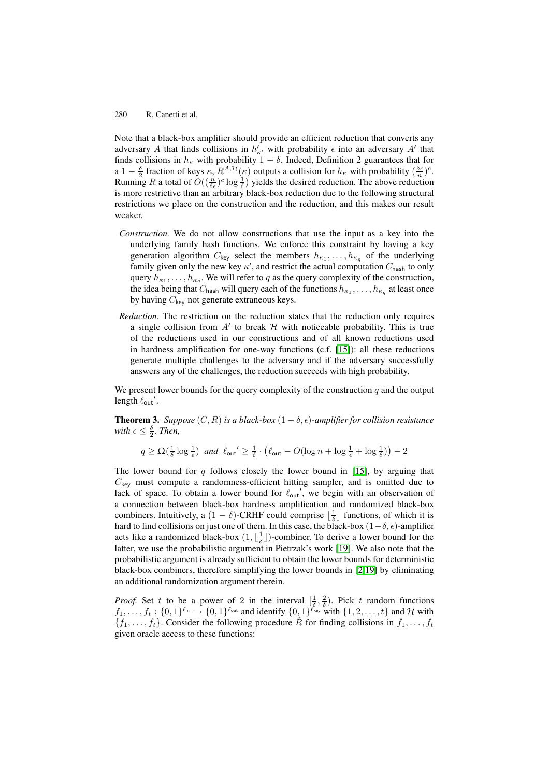Note that a black-box amplifier should provide an efficient reduction that converts any adversary A that finds collisions in  $h'_{\kappa'}$  with probability  $\epsilon$  into an adversary A' that finds collisions in  $h_{\kappa}$  with probability  $1 - \delta$ . Indeed, Definition 2 guarantees that for a 1 –  $\frac{\delta}{2}$  fraction of keys  $\kappa$ ,  $R^{A, H}(\kappa)$  outputs a collision for  $h_{\kappa}$  with probability  $(\frac{\delta \epsilon}{n})^c$ . Running R a total of  $O((\frac{n}{\delta \epsilon})^c \log \frac{1}{\delta})$  yields the desired reduction. The above reduction is more restrictive than an arbitrary black-box reduction due to the following structural restrictions we place on the construction and the reduction, and this makes our result weaker.

- *Construction.* We do not allow constructions that use the input as a key into the underlying family hash functions. We enforce this constraint by having a key generation algorithm  $C_{\text{key}}$  select the members  $h_{\kappa_1}, \ldots, h_{\kappa_q}$  of the underlying family given only the new key  $\kappa'$ , and restrict the actual computation  $C_{\text{hash}}$  to only query  $h_{\kappa_1}, \ldots, h_{\kappa_q}$ . We will refer to q as the query complexity of the construction, the idea being that  $C_{\text{hash}}$  will query each of the functions  $h_{\kappa_1}, \ldots, h_{\kappa_q}$  at least once by having  $C_{\text{key}}$  not generate extraneous keys.
- *Reduction.* The restriction on the reduction states that the reduction only requires a single collision from  $A'$  to break  $H$  with noticeable probability. This is true of the reductions used in our constructions and of all known reductions used in hardness amplification for one-way functions (c.f. [15]): all these reductions generate multiple challenges to the adversary and if the adversary successfully answers any of the challenges, the reduction succeeds with high probability.

We present lower bounds for the query complexity of the co[nstr](#page-18-7)uction  $q$  and the output length  $\ell_{\text{out}}'$ .

**Theorem 3.** *Suppose*  $(C, R)$  *is a black-box*  $(1 - \delta, \epsilon)$ *-amplifier for collision resistance with*  $\epsilon \leq \frac{\delta}{2}$ *. Then,* 

$$
q \ge \Omega\left(\frac{1}{\delta}\log\frac{1}{\epsilon}\right) \text{ and } \ell_{\text{out}}' \ge \frac{1}{\delta} \cdot \left(\ell_{\text{out}} - O(\log n + \log\frac{1}{\epsilon} + \log\frac{1}{\delta})\right) - 2
$$

The lower bound for  $q$  follows closely the lower bound in [15], by arguing that  $C_{\text{key}}$  must compute a randomness-efficient hitting sampler, and is omitted due to lack of space. To obtain a lower bound for  $\ell_{\text{out}}'$ , we begin with an observation of a connection between black-box hardness amplification and randomized black-box combiners. Intuitively, a  $(1 - \delta)$ -CRHF could comprise  $\lfloor \frac{1}{\delta} \rfloor$  fu[ncti](#page-18-7)ons, of which it is hard to find collisions on just one of them. In this case, the black-box  $(1-\delta, \epsilon)$ -amplifier acts like a randomized black-box  $(1, \lfloor \frac{1}{\delta} \rfloor)$ -combiner. To derive a lower bound for the latter, we use the probabilistic argument in Pietrzak's work [19]. We also note that the probabilistic argument is already sufficient to obtain the lower bounds for deterministic black-box combiners, therefore simplifying the lower bounds in [2,19] by eliminating an additional randomization argument therein.

*Proof.* Set t to be a power of 2 in the interval  $\left[\frac{1}{\delta}, \frac{2}{\delta}\right]$ . [Pic](#page-18-6)k t random functions  $f_1,\ldots,f_t: \{0,1\}^{\ell_{\text{in}}} \to \{0,1\}^{\ell_{\text{out}}}$  and identify  $\{0,1\}^{\ell_{\text{key}}}$  with  $\{1,2,\ldots,t\}$  $\{1,2,\ldots,t\}$  $\{1,2,\ldots,t\}$  and H with  ${f_1,\ldots,f_t}$ . Consider the following procedure R for finding collisions in  $f_1,\ldots,f_t$ given oracle access to these functions: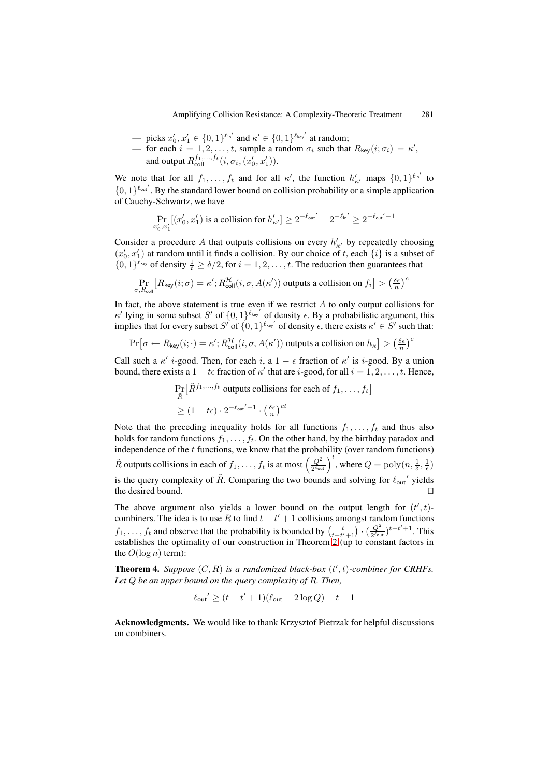- picks  $x'_0, x'_1 \in \{0, 1\}^{\ell_{\text{in}}'}$  and  $\kappa' \in \{0, 1\}^{\ell_{\text{key}}'}$  at random;
- for each  $i = 1, 2, ..., t$ , sample a random  $\sigma_i$  such that  $R_{\text{key}}(i; \sigma_i) = \kappa'$ , and output  $R_{\text{coll}}^{f_1,...,f_t}(i, \sigma_i, (x_0', x_1')).$

We note that for all  $f_1, \ldots, f_t$  and for all  $\kappa'$ , the function  $h'_{\kappa'}$  maps  $\{0, 1\}^{\ell_{\text{in}'}}$  to  $\{0,1\}^{\ell_{\text{out}}'}$ . By the standard lower bound on collision probability or a simple application of Cauchy-Schwartz, we have

$$
\Pr_{x'_0, x'_1} [(x'_0, x'_1) \text{ is a collision for } h'_{\kappa'}] \ge 2^{-\ell_{\text{out}}'} - 2^{-\ell_{\text{in}}'} \ge 2^{-\ell_{\text{out}}' - 1}
$$

Consider a procedure A that outputs collisions on every  $h'_{\kappa'}$  by repeatedly choosing  $(x'_0, x'_1)$  at random until it finds a collision. By our choice of t, each  $\{i\}$  is a subset of  $\{0,1\}^{\ell_{\text{key}}}$  of density  $\frac{1}{t} \ge \delta/2$ , for  $i = 1, 2, \ldots, t$ . The reduction then guarantees that

$$
\Pr_{\sigma, R_{\text{coll}}} \big[ R_{\text{key}}(i;\sigma) = \kappa'; R^\mathcal{H}_{\text{coll}}(i,\sigma,A(\kappa')) \text{ outputs a collision on } f_i \big] > \big(\tfrac{\delta\epsilon}{n}\big)^c
$$

In fact, the above statement is true even if we restrict  $A$  to only output collisions for  $\kappa'$  lying in some subset S' of  $\{0,1\}^{\ell_{\text{key}}'}$  of density  $\epsilon$ . By a probabilistic argument, this implies that for every subset S' of  $\{0,1\}^{\ell_{\text{key}}'}$  of density  $\epsilon$ , there exists  $\kappa' \in S'$  such that:

$$
\Pr\big[\sigma \leftarrow R_{\mathsf{key}}(i;\cdot) = \kappa'; R^\mathcal{H}_{\mathsf{coll}}(i,\sigma,A(\kappa')) \text{ outputs a collision on } h_\kappa\big] > \left(\tfrac{\delta\epsilon}{n}\right)^c
$$

Call such a  $\kappa'$  *i*-good. Then, for each *i*, a  $1 - \epsilon$  fraction of  $\kappa'$  is *i*-good. By a union bound, there exists a  $1 - t\epsilon$  fraction of  $\kappa'$  that are *i*-good, for all  $i = 1, 2, \ldots, t$ . Hence,

$$
\Pr_{\tilde{R}}\left[\tilde{R}^{f_1,\ldots,f_t} \text{ outputs collisions for each of } f_1,\ldots,f_t\right]
$$

$$
\geq (1-t\epsilon) \cdot 2^{-\ell_{\text{out}}'-1} \cdot \left(\frac{\delta\epsilon}{n}\right)^{ct}
$$

Note that the preceding inequality holds for all functions  $f_1, \ldots, f_t$  and thus also holds for random functions  $f_1, \ldots, f_t$ . On the other hand, by the birthday paradox and independence of the  $t$  functions, we know that the probability (over random functions)  $\tilde{R}$  outputs collisions in each of  $f_1,\ldots,f_t$  is at most  $\left(\frac{Q^2}{2^{\ell_{\text{out}}}}\right)^t$ , where  $Q = \text{poly}(n,\frac{1}{\delta},\frac{1}{\epsilon})$ is the query complexity of  $\tilde{R}$ . Comparing the two bounds and solving for  $\ell_{\text{out}}'$  yields the desired bound. 

The above argument also yields a lower bound on the output length for  $(t', t)$ combiners. The idea is to use R to find  $t - t' + 1$  collisions amongst random functions  $f_1, \ldots, f_t$  and observe that the probability is bounded by  $\left(\frac{t}{t-t'+1}\right) \cdot \left(\frac{Q^2}{2^{\ell_{\text{out}}}}\right)^{t-t'+1}$ . This establishes the optimality of our construction in Theorem 2 (up to constant factors in the  $O(\log n)$  term):

**Theorem 4.** Suppose  $(C, R)$  is a randomized black-box  $(t', t)$ -combiner for CRHFs. *Let* Q *be an upper bound on the query complexity of* R*. Th[en](#page-13-2),*

$$
\ell_{\text{out}}' \ge (t - t' + 1)(\ell_{\text{out}} - 2\log Q) - t - 1
$$

**Acknowledgments.** We would like to thank Krzysztof Pietrzak for helpful discussions on combiners.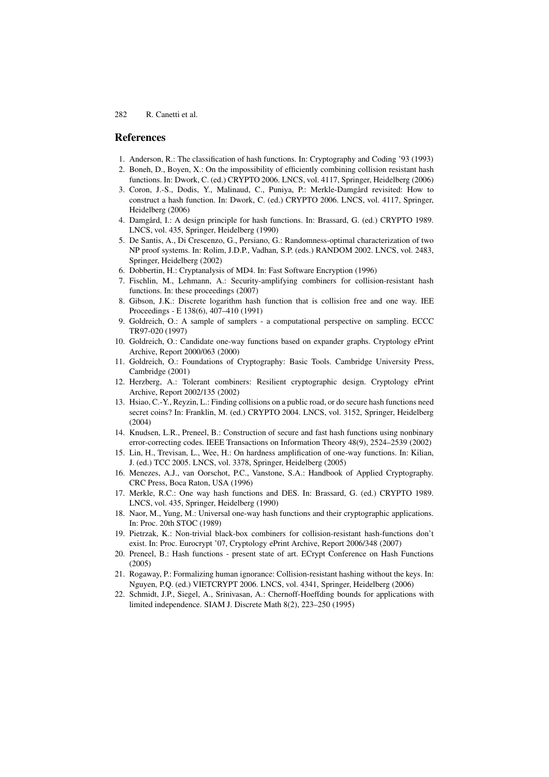## <span id="page-18-17"></span>**References**

- <span id="page-18-5"></span>1. Anderson, R.: The classification of hash functions. In: Cryptography and Coding '93 (1993)
- 2. Boneh, D., Boyen, X.: On the impossibility of efficiently combining collision resistant hash functions. In: Dwork, C. (ed.) CRYPTO 2006. LNCS, vol. 4117, Springer, Heidelberg (2006)
- <span id="page-18-4"></span>3. Coron, J.-S., Dodis, Y., Malinaud, C., Puniya, P.: Merkle-Damgård revisited: How to construct a hash function. In: Dwork, C. (ed.) CRYPTO 2006. LNCS, vol. 4117, Springer, Heidelberg (2006)
- <span id="page-18-2"></span>4. Damgård, I.: A design principle for hash functions. In: Brassard, G. (ed.) CRYPTO 1989. LNCS, vol. 435, Springer, Heidelberg (1990)
- <span id="page-18-12"></span>5. De Santis, A., Di Crescenzo, G., Persiano, G.: Randomness-optimal characterization of two NP proof systems. In: Rolim, J.D.P., Vadhan, S.P. (eds.) RANDOM 2002. LNCS, vol. 2483, Springer, Heidelberg (2002)
- <span id="page-18-16"></span><span id="page-18-10"></span>6. Dobbertin, H.: Cryptanalysis of MD4. In: Fast Software Encryption (1996)
- 7. Fischlin, M., Lehmann, A.: Security-amplifying combiners for collision-resistant hash functions. In: these proceedings (2007)
- <span id="page-18-11"></span>8. Gibson, J.K.: Discrete logarithm hash function that is collision free and one way. IEE Proceedings - E 138(6), 407–410 (1991)
- <span id="page-18-13"></span>9. Goldreich, O.: A sample of samplers - a computational perspective on sampling. ECCC TR97-020 (1997)
- <span id="page-18-8"></span>10. Goldreich, O.: Candidate one-way functions based on expander graphs. Cryptology ePrint Archive, Report 2000/063 (2000)
- <span id="page-18-14"></span>11. Goldreich, O.: Foundations of Cryptography: Basic Tools. Cambridge University Press, Cambridge (2001)
- <span id="page-18-15"></span>12. Herzberg, A.: Tolerant combiners: Resilient cryptographic design. Cryptology ePrint Archive, Report 2002/135 (2002)
- <span id="page-18-19"></span>13. Hsiao, C.-Y., Reyzin, L.: Finding collisions on a public road, or do secure hash functions need secret coins? In: Franklin, M. (ed.) CRYPTO 2004. LNCS, vol. 3152, Springer, Heidelberg  $(2004)$
- <span id="page-18-3"></span>14. Knudsen, L.R., Preneel, B.: Construction of secure and fast hash functions using nonbinary error-correcting codes. IEEE Transactions on Information Theory 48(9), 2524–2539 (2002)
- <span id="page-18-7"></span>15. Lin, H., Trevisan, L., Wee, H.: On hardness amplification of one-way functions. In: Kilian, J. (ed.) TCC 2005. LNCS, vol. 3378, Springer, Heidelberg (2005)
- <span id="page-18-18"></span>16. Menezes, A.J., van Oorschot, P.C., Vanstone, S.A.: Handbook of Applied Cryptography. CRC Press, Boca Raton, USA (1996)
- <span id="page-18-1"></span>17. Merkle, R.C.: One way hash functions and DES. In: Brassard, G. (ed.) CRYPTO 1989. LNCS, vol. 435, Springer, Heidelberg (1990)
- 18. Naor, M., Yung, M.: Universal one-way hash functions and their cryptographic applications. In: Proc. 20th STOC (1989)
- <span id="page-18-6"></span>19. Pietrzak, K.: Non-trivial black-box combiners for collision-resistant hash-functions don't exist. In: Proc. Eurocrypt '07, Cryptology ePrint Archive, Report 2006/348 (2007)
- <span id="page-18-0"></span>20. Preneel, B.: Hash functions - present state of art. ECrypt Conference on Hash Functions (2005)
- <span id="page-18-9"></span>21. Rogaway, P.: Formalizing human ignorance: Collision-resistant hashing without the keys. In: Nguyen, P.Q. (ed.) VIETCRYPT 2006. LNCS, vol. 4341, Springer, Heidelberg (2006)
- <span id="page-18-20"></span>22. Schmidt, J.P., Siegel, A., Srinivasan, A.: Chernoff-Hoeffding bounds for applications with limited independence. SIAM J. Discrete Math 8(2), 223–250 (1995)